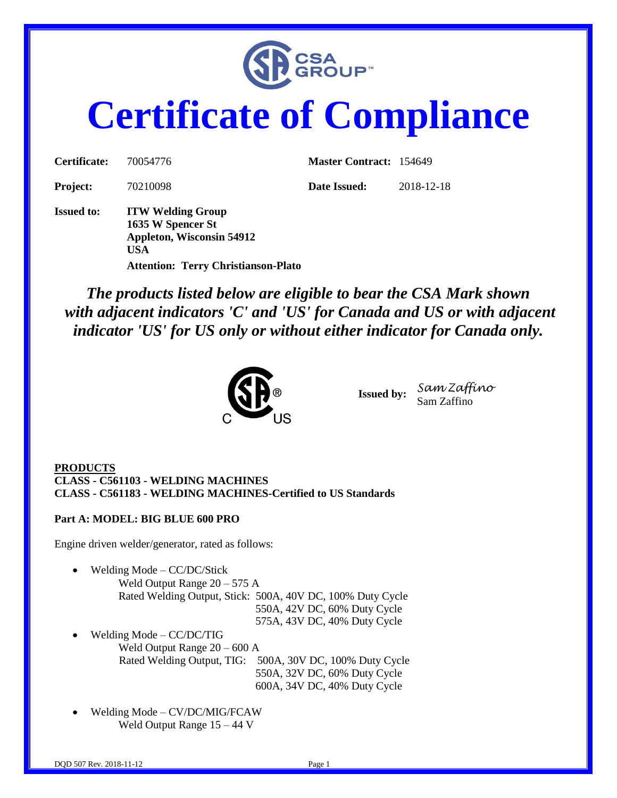

# **Certificate of Compliance**

| Certificate:      | 70054776                                                                          | <b>Master Contract: 154649</b> |            |
|-------------------|-----------------------------------------------------------------------------------|--------------------------------|------------|
| <b>Project:</b>   | 70210098                                                                          | Date Issued:                   | 2018-12-18 |
| <b>Issued to:</b> | <b>ITW Welding Group</b><br>1635 W Spencer St<br>Appleton, Wisconsin 54912<br>USA |                                |            |

**Attention: Terry Christianson-Plato**

*The products listed below are eligible to bear the CSA Mark shown with adjacent indicators 'C' and 'US' for Canada and US or with adjacent indicator 'US' for US only or without either indicator for Canada only.*



**Issued by:** *Sam Zaffino* Sam Zaffino

**PRODUCTS CLASS - C561103 - WELDING MACHINES CLASS - C561183 - WELDING MACHINES-Certified to US Standards**

**Part A: MODEL: BIG BLUE 600 PRO**

Engine driven welder/generator, rated as follows:

Welding Mode – CC/DC/Stick

 Weld Output Range 20 – 575 A Rated Welding Output, Stick: 500A, 40V DC, 100% Duty Cycle 550A, 42V DC, 60% Duty Cycle 575A, 43V DC, 40% Duty Cycle

- Welding Mode CC/DC/TIG Weld Output Range 20 – 600 A Rated Welding Output, TIG: 500A, 30V DC, 100% Duty Cycle 550A, 32V DC, 60% Duty Cycle 600A, 34V DC, 40% Duty Cycle
- Welding Mode CV/DC/MIG/FCAW Weld Output Range 15 – 44 V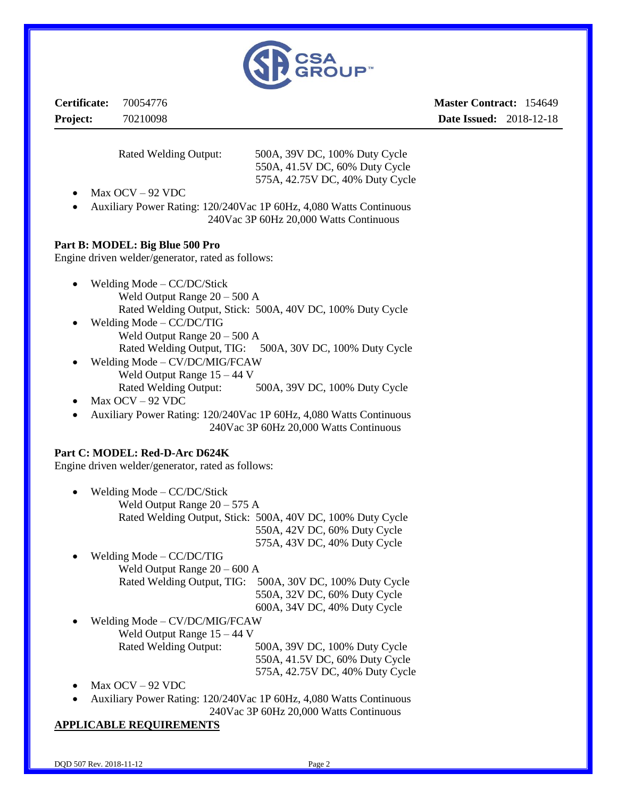

**Certificate:** 70054776 **Project:** 70210098

**Master Contract:** 154649 **Date Issued:** 2018-12-18

 Rated Welding Output: 500A, 39V DC, 100% Duty Cycle 550A, 41.5V DC, 60% Duty Cycle 575A, 42.75V DC, 40% Duty Cycle

- Max OCV 92 VDC
- Auxiliary Power Rating: 120/240Vac 1P 60Hz, 4,080 Watts Continuous 240Vac 3P 60Hz 20,000 Watts Continuous

#### **Part B: MODEL: Big Blue 500 Pro**

Engine driven welder/generator, rated as follows:

- Welding Mode CC/DC/Stick Weld Output Range 20 – 500 A Rated Welding Output, Stick: 500A, 40V DC, 100% Duty Cycle
- Welding Mode CC/DC/TIG Weld Output Range 20 – 500 A Rated Welding Output, TIG: 500A, 30V DC, 100% Duty Cycle
- Welding Mode CV/DC/MIG/FCAW Weld Output Range 15 – 44 V Rated Welding Output: 500A, 39V DC, 100% Duty Cycle
- Max OCV 92 VDC
- Auxiliary Power Rating: 120/240Vac 1P 60Hz, 4,080 Watts Continuous 240Vac 3P 60Hz 20,000 Watts Continuous

#### **Part C: MODEL: Red-D-Arc D624K**

Engine driven welder/generator, rated as follows:

- Welding Mode CC/DC/Stick Weld Output Range 20 – 575 A Rated Welding Output, Stick: 500A, 40V DC, 100% Duty Cycle 550A, 42V DC, 60% Duty Cycle
- 575A, 43V DC, 40% Duty Cycle Welding Mode – CC/DC/TIG Weld Output Range 20 – 600 A Rated Welding Output, TIG: 500A, 30V DC, 100% Duty Cycle 550A, 32V DC, 60% Duty Cycle

600A, 34V DC, 40% Duty Cycle

- Welding Mode CV/DC/MIG/FCAW Weld Output Range 15 – 44 V Rated Welding Output: 500A, 39V DC, 100% Duty Cycle 550A, 41.5V DC, 60% Duty Cycle
	- 575A, 42.75V DC, 40% Duty Cycle
- Max OCV 92 VDC
- Auxiliary Power Rating: 120/240Vac 1P 60Hz, 4,080 Watts Continuous
- 240Vac 3P 60Hz 20,000 Watts Continuous

#### **APPLICABLE REQUIREMENTS**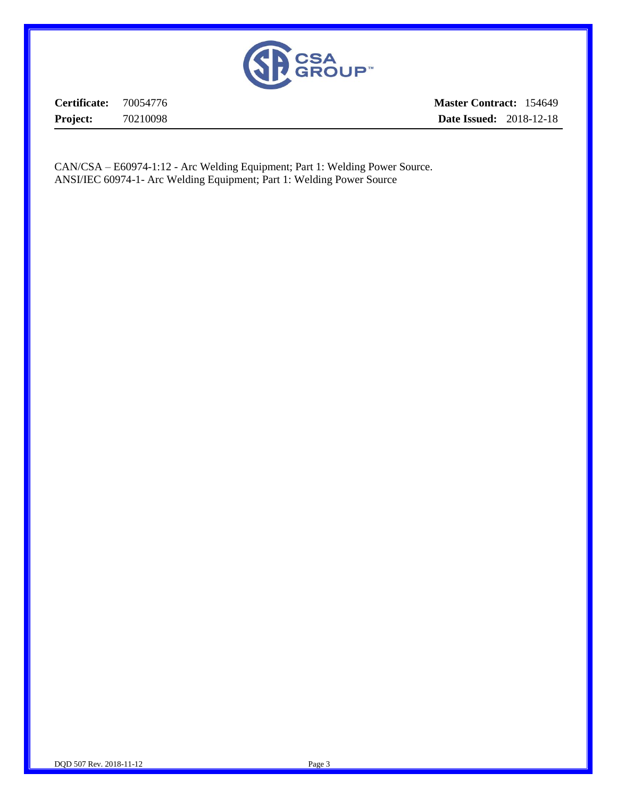

**Certificate:** 70054776 **Project:** 70210098

**Master Contract:** 154649 **Date Issued:** 2018-12-18

CAN/CSA – E60974-1:12 - Arc Welding Equipment; Part 1: Welding Power Source. ANSI/IEC 60974-1- Arc Welding Equipment; Part 1: Welding Power Source